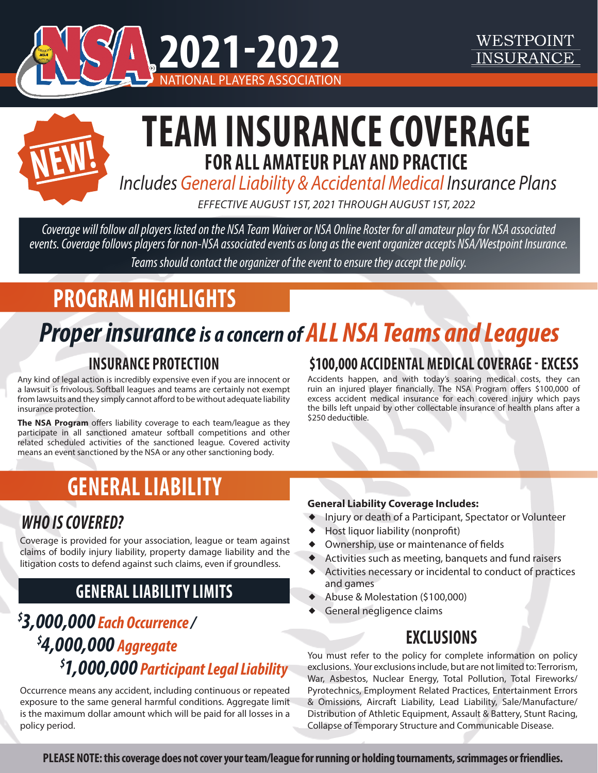



# **TEAM INSURANCE COVERAGE FOR ALL AMATEUR PLAY AND PRACTICE**

 *Includes General Liability & Accidental Medical Insurance Plans*

*EFFECTIVE AUGUST 1ST, 2021 THROUGH AUGUST 1ST, 2022*

*Coverage will follow all players listed on the NSA Team Waiver or NSA Online Roster for all amateur play for NSA associated events. Coverage follows players for non-NSA associated events as long as the event organizer accepts NSA/Westpoint Insurance. Teams should contact the organizer of the event to ensure they accept the policy.*

## **PROGRAM HIGHLIGHTS**

# *Proper insurance is a concern of ALLNSA Teams and Leagues*

#### **INSURANCE PROTECTION**

Any kind of legal action is incredibly expensive even if you are innocent or a lawsuit is frivolous. Softball leagues and teams are certainly not exempt from lawsuits and they simply cannot afford to be without adequate liability insurance protection.

**The NSA Program** offers liability coverage to each team/league as they participate in all sanctioned amateur softball competitions and other related scheduled activities of the sanctioned league. Covered activity means an event sanctioned by the NSA or any other sanctioning body.

#### **\$100,000 ACCIDENTAL MEDICAL COVERAGE - EXCESS**

WESTPOINT **INSURANCE** 

Accidents happen, and with today's soaring medical costs, they can ruin an injured player financially. The NSA Program offers \$100,000 of excess accident medical insurance for each covered injury which pays the bills left unpaid by other collectable insurance of health plans after a \$250 deductible.

## **GENERAL LIABILITY**

#### **General Liability Coverage Includes:**

- w Injury or death of a Participant, Spectator or Volunteer
- $\blacklozenge$  Host liquor liability (nonprofit)
- $\blacklozenge$  Ownership, use or maintenance of fields
- $\blacklozenge$  Activities such as meeting, banquets and fund raisers
- $\blacklozenge$  Activities necessary or incidental to conduct of practices and games
- $\blacklozenge$  Abuse & Molestation (\$100,000)
- $\blacklozenge$  General negligence claims

#### **EXCLUSIONS**

You must refer to the policy for complete information on policy exclusions. Your exclusions include, but are not limited to: Terrorism, War, Asbestos, Nuclear Energy, Total Pollution, Total Fireworks/ Pyrotechnics, Employment Related Practices, Entertainment Errors & Omissions, Aircraft Liability, Lead Liability, Sale/Manufacture/ Distribution of Athletic Equipment, Assault & Battery, Stunt Racing, Collapse of Temporary Structure and Communicable Disease.

### *WHO IS COVERED?*

Coverage is provided for your association, league or team against claims of bodily injury liability, property damage liability and the litigation costs to defend against such claims, even if groundless.

#### **GENERAL LIABILITY LIMITS**

### *\$ 3,000,000 Each Occurrence / \$ 4,000,000 Aggregate \$ 1,000,000 Participant Legal Liability*

Occurrence means any accident, including continuous or repeated exposure to the same general harmful conditions. Aggregate limit is the maximum dollar amount which will be paid for all losses in a policy period.

**PLEASE NOTE: this coverage does not cover your team/league for running or holding tournaments, scrimmages or friendlies.**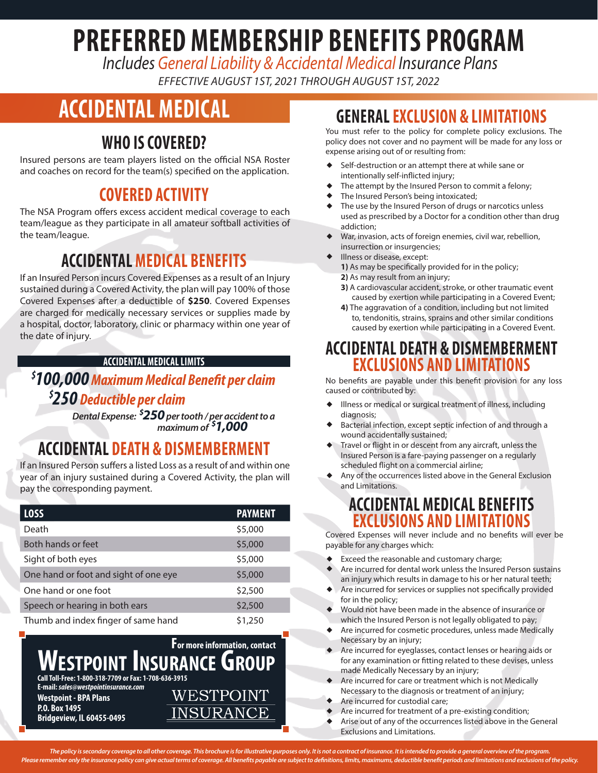# **PREFERRED MEMBERSHIP BENEFITS PROGRAM**

 *Includes General Liability & Accidental Medical Insurance Plans*

*EFFECTIVE AUGUST 1ST, 2021 THROUGH AUGUST 1ST, 2022*

## **ACCIDENTAL MEDICAL**

#### **WHO IS COVERED?**

Insured persons are team players listed on the official NSA Roster and coaches on record for the team(s) specified on the application.

#### **COVERED ACTIVITY**

The NSA Program offers excess accident medical coverage to each team/league as they participate in all amateur softball activities of the team/league.

#### **ACCIDENTAL MEDICAL BENEFITS**

If an Insured Person incurs Covered Expenses as a result of an Injury sustained during a Covered Activity, the plan will pay 100% of those Covered Expenses after a deductible of **\$250**. Covered Expenses are charged for medically necessary services or supplies made by a hospital, doctor, laboratory, clinic or pharmacy within one year of the date of injury.

#### **ACCIDENTAL MEDICAL LIMITS**

#### *\$ 100,000Maximum Medical Benefit per claim \$ 250 Deductible per claim*

*Dental Expense: \$ 250 per tooth / per accident to a maximum of \$ 1,000*

#### **ACCIDENTAL DEATH & DISMEMBERMENT**

If an Insured Person suffers a listed Loss as a result of and within one year of an injury sustained during a Covered Activity, the plan will pay the corresponding payment.

| <b>LOSS</b>                           | <b>PAYMENT</b> |
|---------------------------------------|----------------|
| Death                                 | \$5,000        |
| Both hands or feet                    | \$5,000        |
| Sight of both eyes                    | \$5,000        |
| One hand or foot and sight of one eye | \$5,000        |
| One hand or one foot                  | \$2,500        |
| Speech or hearing in both ears        | \$2,500        |
| Thumb and index finger of same hand   | \$1,250        |



**INSURANCE** 

**Westpoint - BPA Plans P.O. Box 1495**

**Bridgeview, IL 60455-0495**

#### **GENERAL EXCLUSION & LIMITATIONS**

You must refer to the policy for complete policy exclusions. The policy does not cover and no payment will be made for any loss or expense arising out of or resulting from:

- Self-destruction or an attempt there at while sane or intentionally self-inflicted injury;
- The attempt by the Insured Person to commit a felony;
- The Insured Person's being intoxicated:
- The use by the Insured Person of drugs or narcotics unless used as prescribed by a Doctor for a condition other than drug addiction;
- ◆ War, invasion, acts of foreign enemies, civil war, rebellion, insurrection or insurgencies;
- Illness or disease, except:
	- **1)** As may be specifically provided for in the policy;
	- **2)** As may result from an injury;
		- **3)** A cardiovascular accident, stroke, or other traumatic event caused by exertion while participating in a Covered Event;
	- **4)** The aggravation of a condition, including but not limited to, tendonitis, strains, sprains and other similar conditions caused by exertion while participating in a Covered Event.

#### **ACCIDENTAL DEATH & DISMEMBERMENT EXCLUSIONS AND LIMITATIONS**

No benefits are payable under this benefit provision for any loss caused or contributed by:

- Illness or medical or surgical treatment of illness, including diagnosis;
- Bacterial infection, except septic infection of and through a wound accidentally sustained;
- Travel or flight in or descent from any aircraft, unless the Insured Person is a fare-paying passenger on a regularly scheduled flight on a commercial airline;
- Any of the occurrences listed above in the General Exclusion and Limitations.

#### **ACCIDENTAL MEDICAL BENEFITS EXCLUSIONS AND LIMITATIONS**

Covered Expenses will never include and no benefits will ever be payable for any charges which:

- Exceed the reasonable and customary charge;
- Are incurred for dental work unless the Insured Person sustains an injury which results in damage to his or her natural teeth;
- Are incurred for services or supplies not specifically provided for in the policy;
- Would not have been made in the absence of insurance or which the Insured Person is not legally obligated to pay;
- Are incurred for cosmetic procedures, unless made Medically Necessary by an injury;
- Are incurred for eyeglasses, contact lenses or hearing aids or for any examination or fitting related to these devises, unless made Medically Necessary by an injury;
- Are incurred for care or treatment which is not Medically Necessary to the diagnosis or treatment of an injury;
- Are incurred for custodial care;
- Are incurred for treatment of a pre-existing condition;
- Arise out of any of the occurrences listed above in the General Exclusions and Limitations.

*The policy is secondary coverage to all other coverage. This brochure is for illustrative purposes only. It is not a contract of insurance. It is intended to provide a general overview of the program. Please remember only the insurance policy can give actual terms of coverage. All benefits payable are subject to definitions, limits, maximums, deductible benefit periods and limitations and exclusions of the policy.*